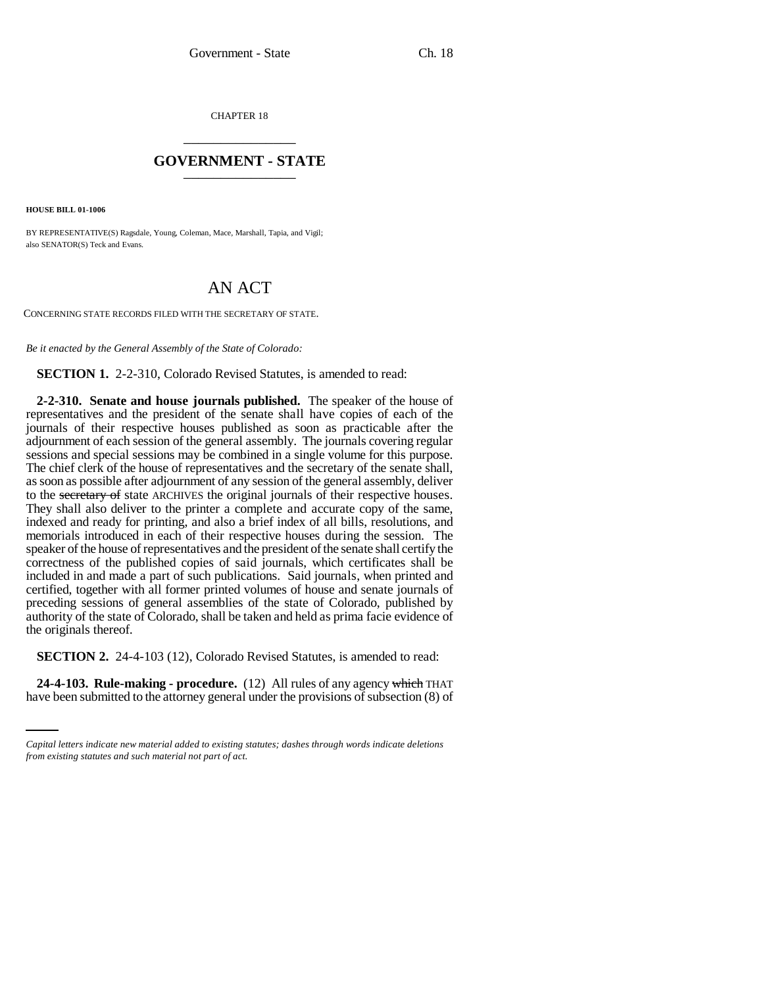CHAPTER 18 \_\_\_\_\_\_\_\_\_\_\_\_\_\_\_

## **GOVERNMENT - STATE** \_\_\_\_\_\_\_\_\_\_\_\_\_\_\_

**HOUSE BILL 01-1006**

BY REPRESENTATIVE(S) Ragsdale, Young, Coleman, Mace, Marshall, Tapia, and Vigil; also SENATOR(S) Teck and Evans.

## AN ACT

CONCERNING STATE RECORDS FILED WITH THE SECRETARY OF STATE.

*Be it enacted by the General Assembly of the State of Colorado:*

**SECTION 1.** 2-2-310, Colorado Revised Statutes, is amended to read:

**2-2-310. Senate and house journals published.** The speaker of the house of representatives and the president of the senate shall have copies of each of the journals of their respective houses published as soon as practicable after the adjournment of each session of the general assembly. The journals covering regular sessions and special sessions may be combined in a single volume for this purpose. The chief clerk of the house of representatives and the secretary of the senate shall, as soon as possible after adjournment of any session of the general assembly, deliver to the secretary of state ARCHIVES the original journals of their respective houses. They shall also deliver to the printer a complete and accurate copy of the same, indexed and ready for printing, and also a brief index of all bills, resolutions, and memorials introduced in each of their respective houses during the session. The speaker of the house of representatives and the president of the senate shall certify the correctness of the published copies of said journals, which certificates shall be included in and made a part of such publications. Said journals, when printed and certified, together with all former printed volumes of house and senate journals of preceding sessions of general assemblies of the state of Colorado, published by authority of the state of Colorado, shall be taken and held as prima facie evidence of the originals thereof.

**SECTION 2.** 24-4-103 (12), Colorado Revised Statutes, is amended to read:

**24-4-103. Rule-making - procedure.** (12) All rules of any agency which THAT have been submitted to the attorney general under the provisions of subsection (8) of

*Capital letters indicate new material added to existing statutes; dashes through words indicate deletions from existing statutes and such material not part of act.*